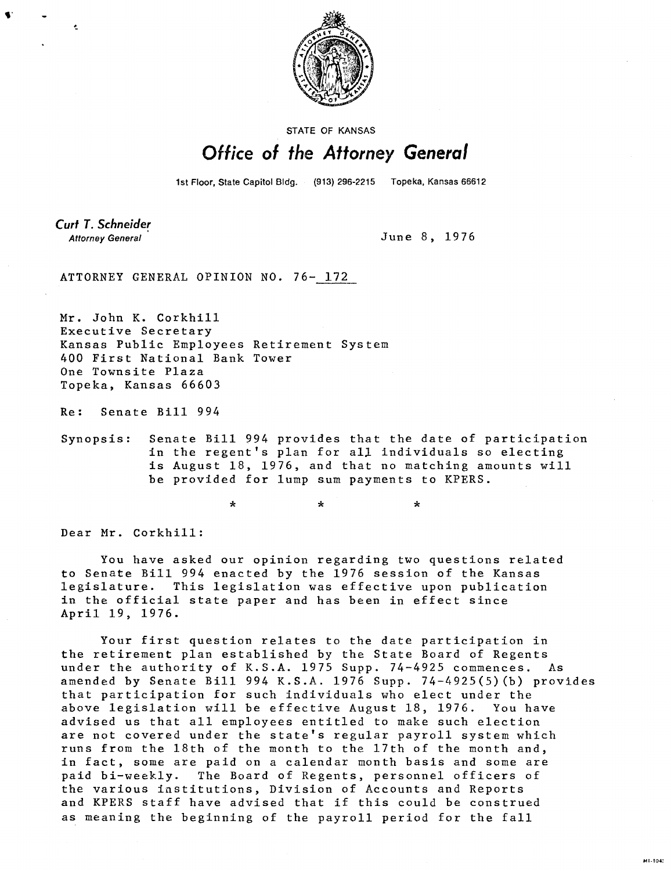

STATE OF KANSAS

## Office of the Attorney General

1st Floor, State Capitol Bldg. (913) 296-2215 Topeka, Kansas 66612

Curt T. Schneider **Attorney General** 

Ł

June 8, 1976

MI-1042

ATTORNEY GENERAL OPINION NO. 76- 172

Mr. John K. Corkhill Executive Secretary Kansas Public Employees Retirement System 400 First National Bank Tower One Townsite Plaza Topeka, Kansas 66603

 $\star$ 

Re: Senate Bill 994

Synopsis: Senate Bill 994 provides that the date of participation in the regent's plan for all individuals so electing is August 18, 1976, and that no matching amounts will be provided for lump sum payments to KPERS.

> $\Delta$  $\star$

Dear Mr. Corkhill:

You have asked our opinion regarding two questions related to Senate Bill 994 enacted by the 1976 session of the Kansas legislature. This legislation was effective upon publication in the official state paper and has been in effect since April 19, 1976.

Your first question relates to the date participation in the retirement plan established by the State Board of Regents under the authority of K.S.A. 1975 Supp. 74-4925 commences. As amended by Senate Bill 994 K.S.A. 1976 Supp. 74-4925(5)(b) provides that participation for such individuals who elect under the above legislation will be effective August 18, 1976. You have advised us that all employees entitled to make such election are not covered under the state's regular payroll system which runs from the 18th of the month to the 17th of the month and, in fact, some are paid on a calendar month basis and some are paid bi-weekly. The Board of Regents, personnel officers of the various institutions, Division of Accounts and Reports and KPERS staff have advised that if this could be construed as meaning the beginning of the payroll period for the fall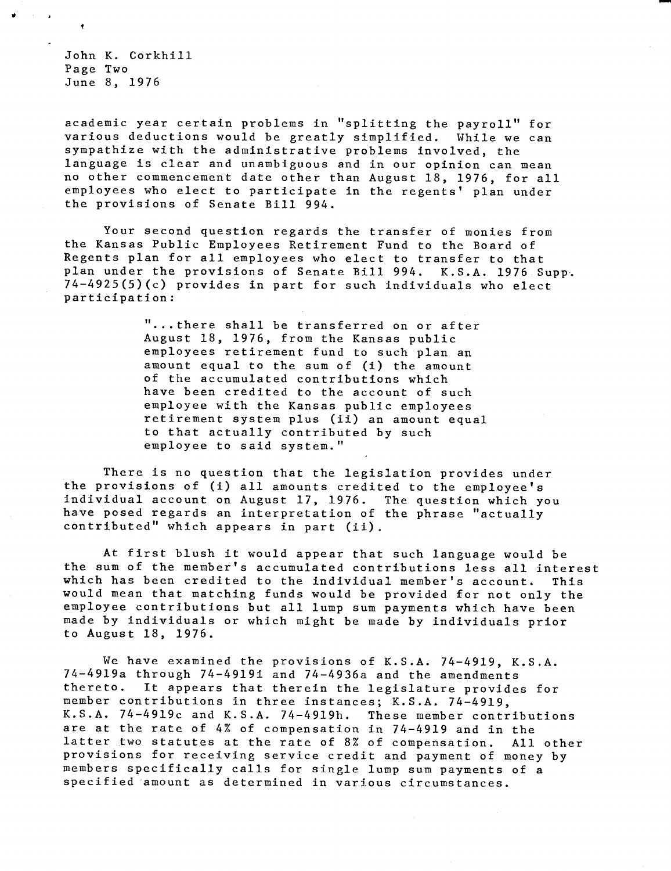John K. Corkhill Page Two June 8, 1976

academic year certain problems in "splitting the payroll" for various deductions would be greatly simplified. While we can sympathize with the administrative problems involved, the language is clear and unambiguous and in our opinion can mean no other commencement date other than August 18, 1976, for all employees who elect to participate in the regents' plan under the provisions of Senate Bill 994.

Your second question regards the transfer of monies from the Kansas Public Employees Retirement Fund to the Board of Regents plan for all employees who elect to transfer to that plan under the provisions of Senate Bill 994. K.S.A. 1976 Supp. 74-4925(5)(c) provides in part for such individuals who elect participation:

> "...there shall be transferred on or after August 18, 1976, from the Kansas public employees retirement fund to such plan an amount equal to the sum of (i) the amount of the accumulated contributions which have been credited to the account of such employee with the Kansas public employees retirement system plus (ii) an amount equal to that actually contributed by such employee to said system."

There is no question that the legislation provides under the provisions of (i) all amounts credited to the employee's individual account on August 17, 1976. The question which you have posed regards an interpretation of the phrase "actually contributed" which appears in part (ii).

At first blush it would appear that such language would be the sum of the member's accumulated contributions less all interest which has been credited to the individual member's account. This would mean that matching funds would be provided for not only the employee contributions but all lump sum payments which have been made by individuals or which might be made by individuals prior to August 18, 1976.

We have examined the provisions of K.S.A. 74-4919, K.S.A. 74-4919a through 74-4919i and 74-4936a and the amendments thereto. It appears that therein the legislature provides for member contributions in three instances; K.S.A. 74-4919, K.S.A. 74-4919c and K.S.A. 74-4919h. These member contributions are at the rate of 4% of compensation in 74-4919 and in the latter two statutes at the rate of 8% of compensation. All other provisions for receiving service credit and payment of money by members specifically calls for single lump sum payments of a specified amount as determined in various circumstances.